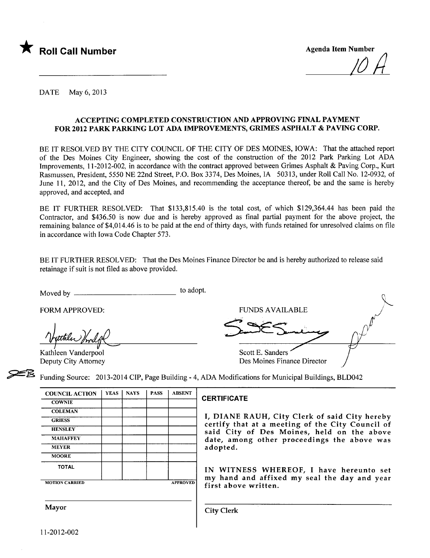

 $\mu$   $\mu$ 

DATE May 6, 2013

#### ACCEPTING COMPLETED CONSTRUCTION AND APPROVING FINAL PAYMENT FOR 2012 PARK PARKIG LOT ADA IMPROVEMENTS, GRIMES ASPHALT & PAVING CORP.

BE IT RESOLVED BY THE CITY COUNCIL OF THE CITY OF DES MOINS, IOWA: That the attached report of the Des Moines City Engineer, showing the cost of the construction of the 2012 Park Parking Lot ADA Improvements, 11-2012-002, in accordance with the contract approved between Grimes Asphalt & Paving Corp., Kurt Rasmussen, President, 5550 NE 22nd Street, P.O. Box 3374, Des Moines, IA 50313, under Roll Call No. 12-0932, of June 11, 2012, and the City of Des Moines, and recommending the acceptance thereof, be and the same is hereby approved, and accepted, and

BE IT FURTHER RESOLVED: That \$133,815.40 is the total cost, of which \$129,364.44 has been paid the Contractor, and \$436.50 is now due and is hereby approved as final partial payment for the above project, the remaining balance of \$4,0 14.46 is to be paid at the end of thirty days, with funds retained for unresolved claims on fie in accordance with Iowa Code Chapter 573.

BE IT FURTHER RESOLVED: That the Des Moines Finance Director be and is hereby authorized to release said retainage if suit is not fied as above provided.

Moved by to adopt.

FORM APPROVED:<br>*^\puttler\_\frail.pdf*<br>Kathleen Vanderpool

Deputy City Attorney

FORM APPROVED: FUNDS AVAILABLE Scott E. Sanders Examples Funding Source: 2013-2014 CIP, Page Building - 4, ADA Modifications for Municipal Building

Funding Source: 2013-2014 CIP, Page Building - 4, ADA Modifications for Municipal Buildings, BLD042

| <b>COUNCIL ACTION</b> | <b>YEAS</b> | <b>NAYS</b> | <b>PASS</b> | <b>ABSENT</b>   |
|-----------------------|-------------|-------------|-------------|-----------------|
| <b>COWNIE</b>         |             |             |             |                 |
| <b>COLEMAN</b>        |             |             |             |                 |
| <b>GRIESS</b>         |             |             |             |                 |
| <b>HENSLEY</b>        |             |             |             |                 |
| <b>MAHAFFEY</b>       |             |             |             |                 |
| <b>MEYER</b>          |             |             |             |                 |
| <b>MOORE</b>          |             |             |             |                 |
| <b>TOTAL</b>          |             |             |             |                 |
| <b>MOTION CARRIED</b> |             |             |             | <b>APPROVED</b> |

#### **CERTIFICATE**

I, DIANE RAUH, City Clerk of said City hereby certify that at a meeting of the City Council of said City of Des Moines, held on the above date, among other proceedings the above was adopted.

IN WITNESS WHEREOF, I have hereunto set my hand and affixed my seal the day and year first above written.

Mayor Gity Clerk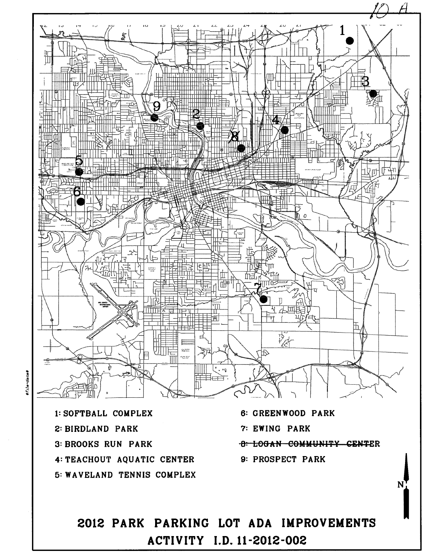

## $f_{1}$   $\sigma$  -d

.. B

2012 PARK PARKING LOT ADA IMPROVEMENTS ACTIVITY J.D. 11 -2012-002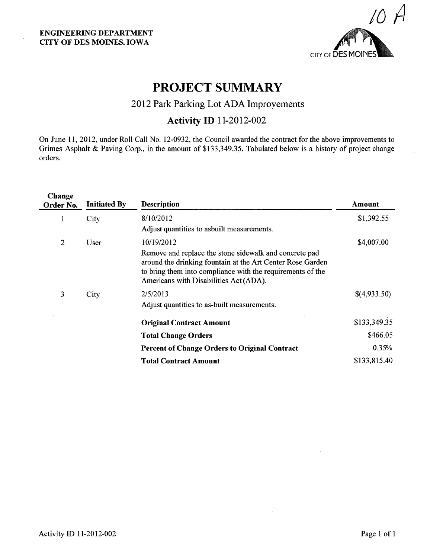

### PROJECT SUMMARY

#### 2012 Park Parking Lot ADA Improyements

#### Activity ID 11-2012-002

On June 11,2012, under Roll Call No. 12-0932, the Council awarded the contract for the above improvements to Grimes Asphalt & Paving Corp., in the amount of \$133,349.35. Tabulated below is a history of project change orders.

| Change<br>Order No. | <b>Initiated By</b> | <b>Description</b>                                                                                                                                                                                                           | Amount       |
|---------------------|---------------------|------------------------------------------------------------------------------------------------------------------------------------------------------------------------------------------------------------------------------|--------------|
| -1                  | City                | 8/10/2012                                                                                                                                                                                                                    | \$1,392.55   |
|                     |                     | Adjust quantities to asbuilt measurements.                                                                                                                                                                                   |              |
| 2                   | User                | 10/19/2012                                                                                                                                                                                                                   | \$4,007.00   |
|                     |                     | Remove and replace the stone sidewalk and concrete pad<br>around the drinking fountain at the Art Center Rose Garden<br>to bring them into compliance with the requirements of the<br>Americans with Disabilities Act (ADA). |              |
| 3                   | City                | 2/5/2013                                                                                                                                                                                                                     | \$(4,933.50) |
|                     |                     | Adjust quantities to as-built measurements.                                                                                                                                                                                  |              |
|                     |                     | <b>Original Contract Amount</b>                                                                                                                                                                                              | \$133,349.35 |
|                     |                     | <b>Total Change Orders</b>                                                                                                                                                                                                   | \$466.05     |
|                     |                     | <b>Percent of Change Orders to Original Contract</b>                                                                                                                                                                         | 0.35%        |
|                     |                     | <b>Total Contract Amount</b>                                                                                                                                                                                                 | \$133,815.40 |
|                     |                     |                                                                                                                                                                                                                              |              |

÷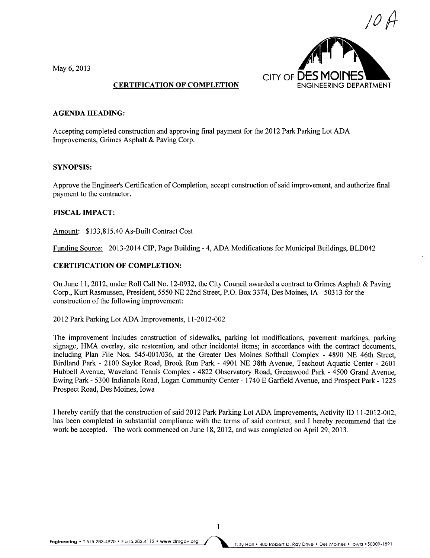May 6, 2013



#### CERTIFICATION OF COMPLETION

#### AGENDA HEADING:

Accepting completed construction and approving final payment for the 2012 Park Parking Lot ADA Improvements, Grimes Asphalt & Paving Corp.

#### SYNOPSIS:

Approve the Engineer's Certification of Completion, accept construction of said improvement, and authorize final payment to the contractor.

#### FISCAL IMPACT:

Amount: \$133,815.40 As-Built Contract Cost

Funding Source: 2013-2014 CIP, Page Building - 4, ADA Modifications for Municipal Buildings, BLD042

#### CERTIFICATION OF COMPLETION:

On June 11,2012, under Roll Call No. 12-0932, the City Council awarded a contract to Grimes Asphalt & Paving Corp., Kurt Rasmussen, President, 5550 NE 22nd Street, P.O. Box 3374, Des Moines, IA 50313 for the construction of the following improvement:

2012 Park Parking Lot ADA Improvements, 11-2012-002

The improvement includes construction of sidewalks, parking lot modifications, pavement markings, parking signage, HMA overlay, site restoration, and other incidental items; in accordance with the contract documents, including Plan File Nos. 545-001/036, at the Greater Des Moines Softball Complex - 4890 NE 46th Street, Birdland Park - 2100 Saylor Road, Brook Run Park - 4901 NE 38th Avenue, Teachout Aquatic Center - 2601 Hubbell Avenue, Waveland Tennis Complex - 4822 Observatory Road, Greenwood Park - 4500 Grand Avenue, Ewing Park - 5300 Indianola Road, Logan Community Center - 1740 E Garfield Avenue, and Prospect Park - 1225 Prospect Road, Des Moines, Iowa

I hereby certify that the construction of said 2012 Park Parking Lot ADA Improvements, Activity ID 11-2012-002, has been completed in substantial compliance with the terms of said contract, and I hereby recommend that the work be accepted. The work commenced on June 18,2012, and was completed on April 29, 2013.

 $\mathbf{1}$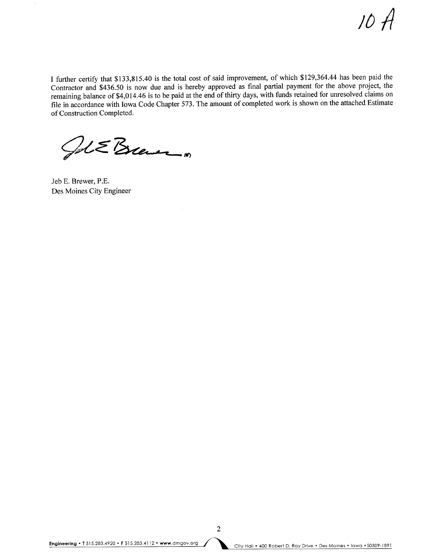/0 It

I further certify that \$133,815.40 is the total cost of said improvement, of which \$129,364.44 has been paid the Contractor and \$436.50 is now due and is hereby approved as final parial payment for the above project, the remaining balance of \$4,014.46 is to be paid at the end of thirty days, with funds retained for unresolved claims on fie in accordance with Iowa Code Chapter 573. The amount of completed work is shown on the attached Estimate of Construction Completed.

ÇJ,¿~ ~."

Jeb E. Brewer, P.E. Des Moines City Engineer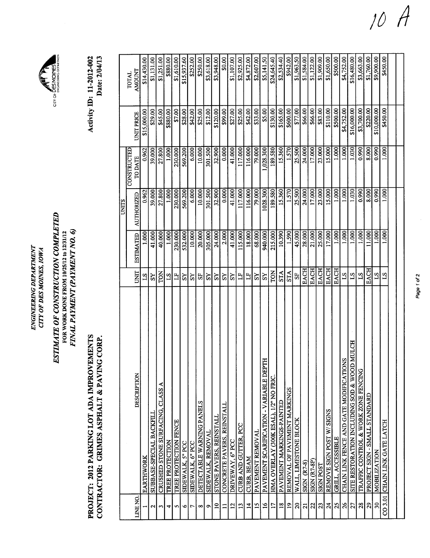| dF<br>ξŹ<br>ŕ<br><b>DEI</b><br><b>SKINC</b><br>Ċ, | ЖĆ<br>wor.<br>t.<br>ΣZ<br>OF D |
|---------------------------------------------------|--------------------------------|
| <b>ENGINF</b>                                     | Ę                              |

# ESTIMATE OF CONSTRUCTION COMPLETED<br>FOR WORK DONE FROM 10/25/12 to 12/31/12 ESTIMATE OF CONSTRUCTION COMPLETED FINAL PAYMENT (PAYMENT NO. 6) FINAL PAYMENT (PAYMENT NO.6) FOR WORK DONE FROM 10/25/12 to 12/31/12



Activity **ID**: 11-2012-002<br>Date: 2/04/13 Activity ID: 11-2012-002 Date: 2/04/13

CITY OF DES MOINES

|                 |                                                        |                 |                     | UNITS      | CONSTRUCTED |                   | TOTAL          |
|-----------------|--------------------------------------------------------|-----------------|---------------------|------------|-------------|-------------------|----------------|
| LINE NO.        | DESCRIPTION                                            | E<br>S          | <b>ESTIMATED</b>    | AUTHORIZED | TO DATE     | <b>UNIT PRICE</b> | <b>TAUOIMA</b> |
|                 | EARTHWORK                                              | $^{2}$          | 1.000               | 0.962      | 0.962       | \$15,000.00       | \$14,430.00    |
| N               | SUBBASE-SPECIAL BACKFILL                               | ΣŠ              | 41.000              | 39.000     | 39.000      | \$29.00           | \$1,131.00     |
| 3               | CRUSHED STONE SURFACING, CLASS                         | TON             | 40.000              | 27.800     | 27.800      | \$45.00           | \$1,251.00     |
| 4               | TREE PROTECTION                                        | $S_{1}$         | 1.000               | 1.000      | 1.000       | \$880.00          | \$880.00       |
| s               | TREE PROTECTION FENCE                                  | H               | 230.000             | 230.000    | 230.000     | \$7.00            | \$1,610.00     |
| ৩               | SIDEWALK, 5" PCC                                       | XS              | 532.000             | 569.200    | 569.200     | \$28.00           | \$15,937.60    |
| r               | SIDEWALK, 6" PCC                                       | ΣŠ              | $\overline{10.000}$ | 6.000      | 6.000       | \$42.00           | \$252.00       |
| ∞               | DETECTABLE WARNING PANELS                              | 55              | 20.000              | 10.000     | 10.000      | \$25.00           | \$250.00       |
| ۰               | SIDEWALK, REMOVAL                                      | S <sub>X</sub>  | 305.000             | 301.500    | 301.500     | \$12.00           | \$3,618.00     |
| $\overline{a}$  | STONE PAVERS, REINSTALL                                | $\mathbf{S}$    | 24.000              | 32.900     | 32.900      | \$120.00          | \$3,948.00     |
| $\Xi$           | CONCRETE PAVERS, REINSTALL                             | $_{\rm NS}$     | 2.000               | 0.000      | 0.000       | \$99.00           | \$0.00         |
| 12              | DRIVEWAY, 6" PCC                                       | ΧS              | 41.000              | 41.000     | 41.000      | \$27.00           | \$1,107.00     |
| 13              | CURB AND GUTTER, PCC                                   | E               | 115.000             | 117.000    | 117.000     | \$25.00           | \$2,925.00     |
| $\overline{1}$  | CURB, BEAM                                             | Ë               | 18.000              | 116.000    | 116.000     | \$42.00           | \$4,872.00     |
| $\overline{15}$ | PAVEMENT REMOVAL                                       | S <sub>X</sub>  | 68.000              | 79.000     | 79.000      | \$33.00           | \$2,607.00     |
| $\frac{6}{2}$   | FTH<br>PAVEMENT SCARIFICATION - VARIABLE DE            | ΣŠ              | 940.000             | 1028.300   | ,028.300    | \$5.00            | \$5,141.50     |
| $\overline{1}$  | HMA OVERLAY (300K ESAL), 1/2" NO FRIC.                 | TON             | 215.000             | 189.580    | 189.580     | \$130.00          | \$24,645.40    |
| $\frac{8}{18}$  | PAVEMENT MARKINGS-PAINTED                              | <b>STA</b>      | 10.390              | 15.360     | 15.360      | \$165.00          | \$2,534.40     |
| $\overline{19}$ | REMOVAL OF PAVEMENT MARKINGS                           | <b>STA</b>      | 1.590               | 1.570      | 1.570       | \$600.00          | \$942.00       |
| $\overline{20}$ | WALL, LIMESTONE BLOCK                                  | $S_{F}$         | 45.000              | 25.500     | 25.500      | \$77.00           | \$1,963.50     |
| $\overline{z}$  | <b>SIGN (R7-8)</b>                                     | <b>EACH</b>     | 28.000              | 24.000     | 24.000      | \$66.00           | \$1,584.00     |
| 22              | SIGN (R7-8P)                                           | <b>EACH</b>     | 21.000              | 17.000     | 17.000      | \$66.00           | \$1,122.00     |
| $\mathbf{z}$    | <b>SIGN POST</b>                                       | <b>EACH</b>     | 25.000              | 23.000     | 23.000      | \$83.00           | \$1,909.00     |
| $\overline{24}$ | REMOVE SIGN POST W/SIGNS                               | <b>EACH</b>     | 17.000              | 15.000     | 15.000      | \$110.00          | \$1,650.00     |
| $\mathbf{z}$    | GRILL, ACCESSIBLE                                      | <b>EACH</b>     | 1.000               | 1.000      | 1.000       | \$500.00          | \$500.00       |
| $\frac{26}{5}$  | <b>ONS</b><br>CHAIN LINK FENCE AND GATE MODIFICATI     | $\overline{51}$ | 1.000               | 1.000      | 1.000       | \$4,752.00        | \$4,752.00     |
| 27              | <b>DD MULCH</b><br>SITE RESTORATION INCLUDING SOD & WO | $S_{1}$         | 1.000               | 1.030      | 1.030       | \$16,000.00       | \$16,480.00    |
| 28              | TRAFFIC CONTROL & WORK ZONE FENCING                    | $^{21}$         | 1.000               | 0.990      | 0.990       | \$3,700.00        | \$3,663.00     |
| $\mathbf{z}$    | PROJECT SIGN - SMALL STANDARD                          | <b>EACH</b>     | 11.000              | 8.000      | 8.000       | \$220.00          | \$1,760.00     |
| $\overline{30}$ | <b>MOBILIZATION</b>                                    | ST.             | 1.000               | 0.990      | 0.990       | \$10,000.00       | \$9,900.00     |
| CO 3.01         | CHAIN LINK GATE LATCH                                  | $^{2}$          | 1.000               | 1.000      | 1.000       | \$450.00          | \$450.00       |
|                 |                                                        |                 |                     |            |             |                   |                |
|                 |                                                        |                 |                     |            |             |                   |                |